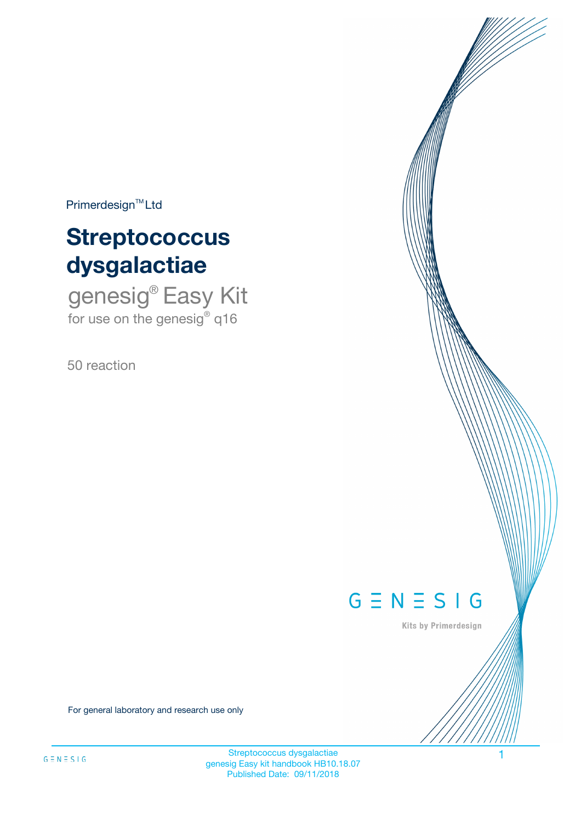$Primerdesign^{\text{TM}}Ltd$ 

# **Streptococcus dysgalactiae**

genesig® Easy Kit for use on the genesig® q16

50 reaction



Kits by Primerdesign

For general laboratory and research use only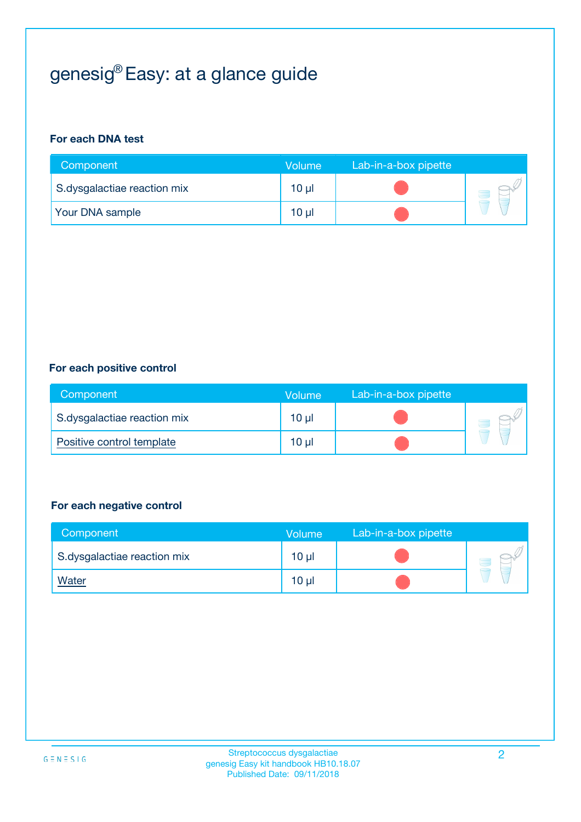# genesig® Easy: at a glance guide

#### **For each DNA test**

| Component                   | <b>Volume</b> | Lab-in-a-box pipette |  |
|-----------------------------|---------------|----------------------|--|
| S.dysgalactiae reaction mix | $10 \mu$      |                      |  |
| <b>Your DNA sample</b>      | 10 µl         |                      |  |

#### **For each positive control**

| Component                   | Volume          | Lab-in-a-box pipette |  |
|-----------------------------|-----------------|----------------------|--|
| S.dysgalactiae reaction mix | 10 <sub>µ</sub> |                      |  |
| Positive control template   | 10 <sub>µ</sub> |                      |  |

#### **For each negative control**

| Component                   | Volume          | Lab-in-a-box pipette |  |
|-----------------------------|-----------------|----------------------|--|
| S.dysgalactiae reaction mix | 10 <sub>µ</sub> |                      |  |
| <b>Water</b>                | 10 <sub>µ</sub> |                      |  |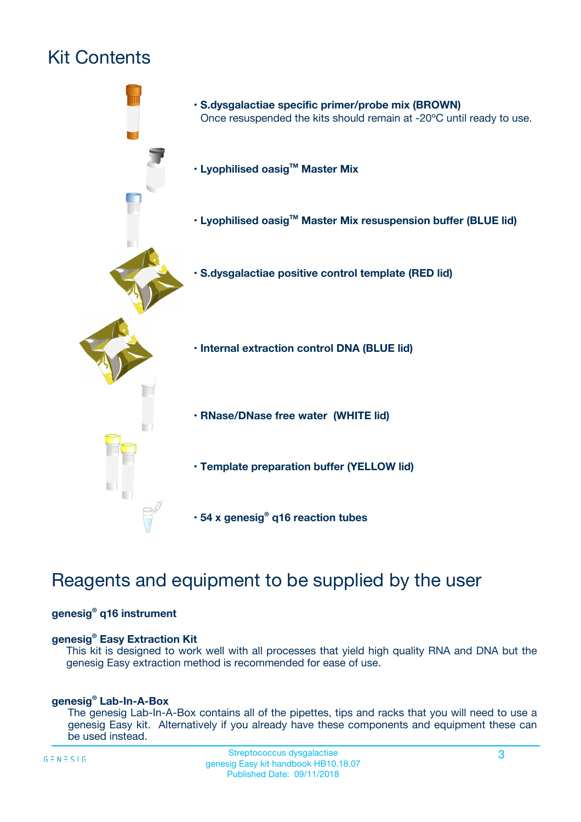# Kit Contents



## Reagents and equipment to be supplied by the user

#### **genesig® q16 instrument**

#### **genesig® Easy Extraction Kit**

This kit is designed to work well with all processes that yield high quality RNA and DNA but the genesig Easy extraction method is recommended for ease of use.

#### **genesig® Lab-In-A-Box**

The genesig Lab-In-A-Box contains all of the pipettes, tips and racks that you will need to use a genesig Easy kit. Alternatively if you already have these components and equipment these can be used instead.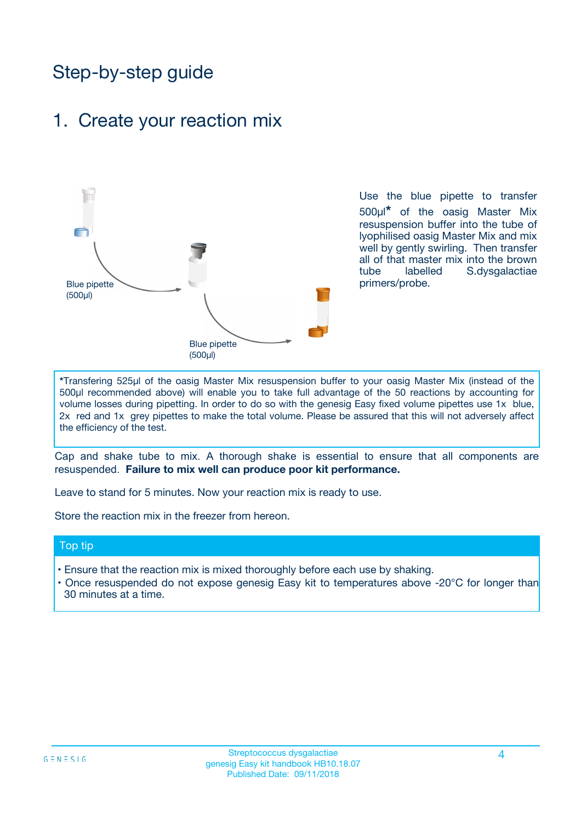## Step-by-step guide

### 1. Create your reaction mix



Use the blue pipette to transfer 500µl**\*** of the oasig Master Mix resuspension buffer into the tube of lyophilised oasig Master Mix and mix well by gently swirling. Then transfer all of that master mix into the brown tube labelled S.dysgalactiae primers/probe.

**\***Transfering 525µl of the oasig Master Mix resuspension buffer to your oasig Master Mix (instead of the 500µl recommended above) will enable you to take full advantage of the 50 reactions by accounting for volume losses during pipetting. In order to do so with the genesig Easy fixed volume pipettes use 1x blue, 2x red and 1x grey pipettes to make the total volume. Please be assured that this will not adversely affect the efficiency of the test.

Cap and shake tube to mix. A thorough shake is essential to ensure that all components are resuspended. **Failure to mix well can produce poor kit performance.**

Leave to stand for 5 minutes. Now your reaction mix is ready to use.

Store the reaction mix in the freezer from hereon.

#### Top tip

- Ensure that the reaction mix is mixed thoroughly before each use by shaking.
- **•** Once resuspended do not expose genesig Easy kit to temperatures above -20°C for longer than 30 minutes at a time.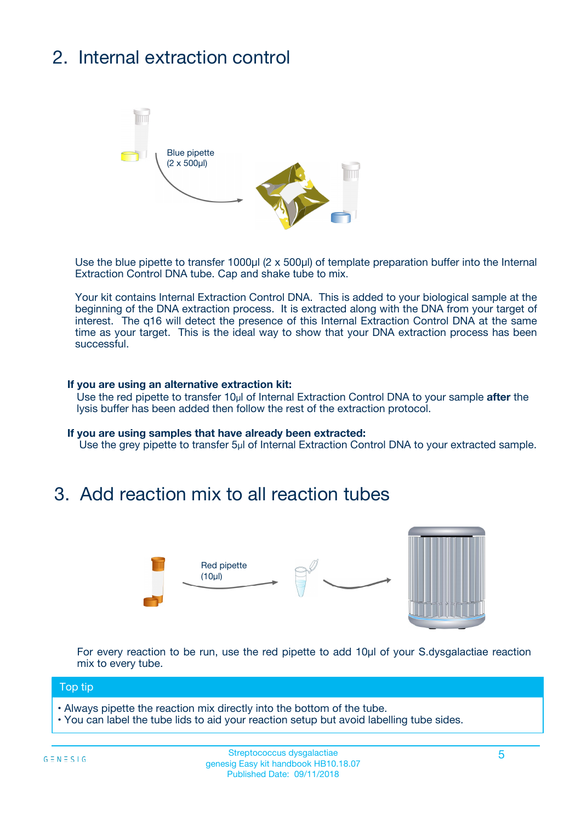# 2. Internal extraction control



Use the blue pipette to transfer 1000µl (2 x 500µl) of template preparation buffer into the Internal Extraction Control DNA tube. Cap and shake tube to mix.

Your kit contains Internal Extraction Control DNA. This is added to your biological sample at the beginning of the DNA extraction process. It is extracted along with the DNA from your target of interest. The q16 will detect the presence of this Internal Extraction Control DNA at the same time as your target. This is the ideal way to show that your DNA extraction process has been successful.

#### **If you are using an alternative extraction kit:**

Use the red pipette to transfer 10µl of Internal Extraction Control DNA to your sample **after** the lysis buffer has been added then follow the rest of the extraction protocol.

#### **If you are using samples that have already been extracted:**

Use the grey pipette to transfer 5µl of Internal Extraction Control DNA to your extracted sample.

### 3. Add reaction mix to all reaction tubes



For every reaction to be run, use the red pipette to add 10µl of your S.dysgalactiae reaction mix to every tube.

#### Top tip

- Always pipette the reaction mix directly into the bottom of the tube.
- You can label the tube lids to aid your reaction setup but avoid labelling tube sides.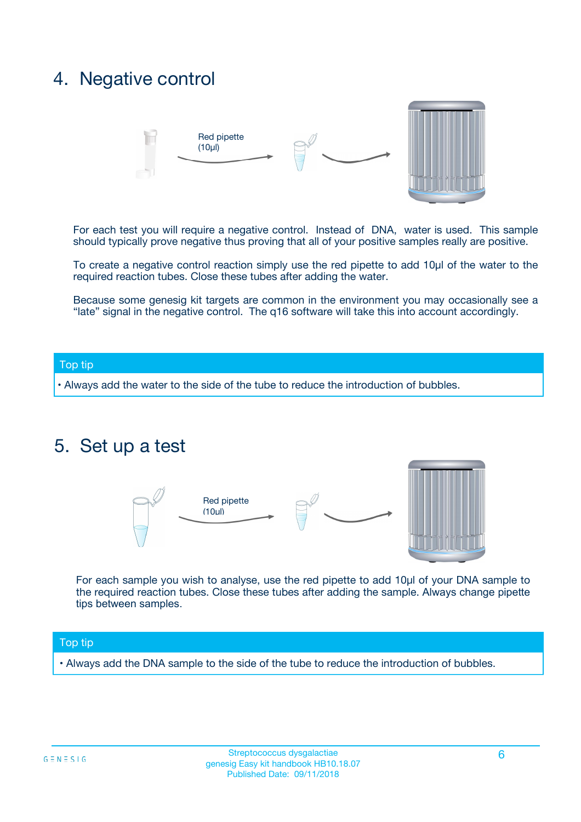### 4. Negative control



For each test you will require a negative control. Instead of DNA, water is used. This sample should typically prove negative thus proving that all of your positive samples really are positive.

To create a negative control reaction simply use the red pipette to add 10µl of the water to the required reaction tubes. Close these tubes after adding the water.

Because some genesig kit targets are common in the environment you may occasionally see a "late" signal in the negative control. The q16 software will take this into account accordingly.

#### Top tip

**•** Always add the water to the side of the tube to reduce the introduction of bubbles.

### 5. Set up a test



For each sample you wish to analyse, use the red pipette to add 10µl of your DNA sample to the required reaction tubes. Close these tubes after adding the sample. Always change pipette tips between samples.

#### Top tip

**•** Always add the DNA sample to the side of the tube to reduce the introduction of bubbles.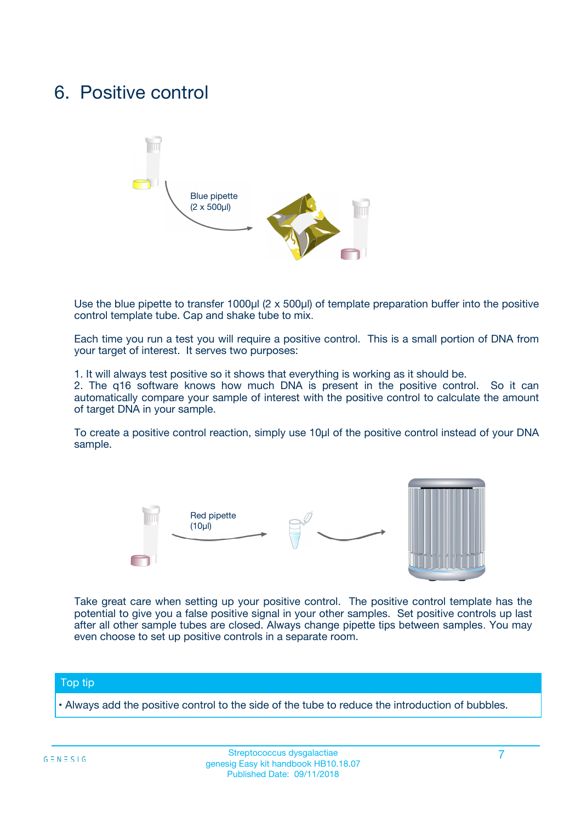### 6. Positive control



Use the blue pipette to transfer 1000µl (2 x 500µl) of template preparation buffer into the positive control template tube. Cap and shake tube to mix.

Each time you run a test you will require a positive control. This is a small portion of DNA from your target of interest. It serves two purposes:

1. It will always test positive so it shows that everything is working as it should be.

2. The q16 software knows how much DNA is present in the positive control. So it can automatically compare your sample of interest with the positive control to calculate the amount of target DNA in your sample.

To create a positive control reaction, simply use 10µl of the positive control instead of your DNA sample.



Take great care when setting up your positive control. The positive control template has the potential to give you a false positive signal in your other samples. Set positive controls up last after all other sample tubes are closed. Always change pipette tips between samples. You may even choose to set up positive controls in a separate room.

#### Top tip

**•** Always add the positive control to the side of the tube to reduce the introduction of bubbles.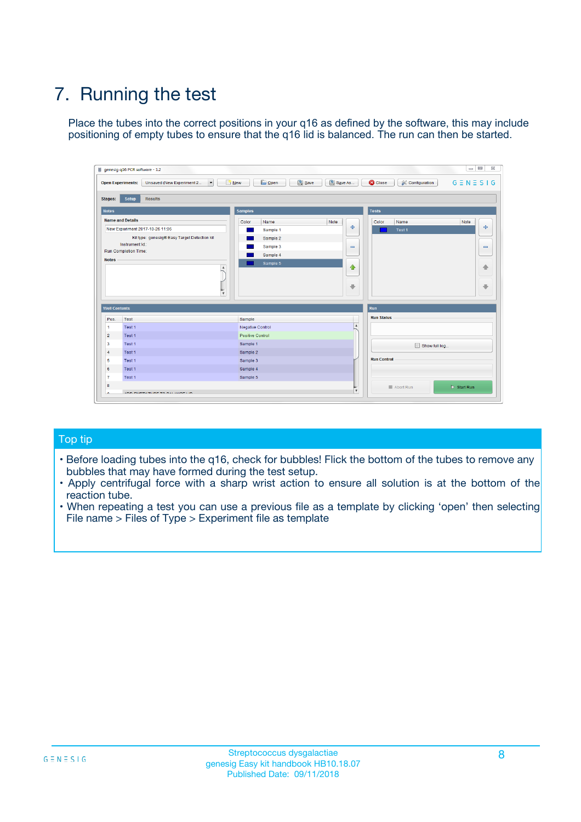# 7. Running the test

Place the tubes into the correct positions in your q16 as defined by the software, this may include positioning of empty tubes to ensure that the q16 lid is balanced. The run can then be started.

|                      | genesig q16 PCR software - 1.2                                               |                                |                              |                                          | $\begin{array}{c c c c} \hline \multicolumn{3}{c }{\textbf{0}} & \multicolumn{3}{c }{\textbf{0}} \end{array}$<br>$\Sigma\!3$ |
|----------------------|------------------------------------------------------------------------------|--------------------------------|------------------------------|------------------------------------------|------------------------------------------------------------------------------------------------------------------------------|
|                      | $\vert \cdot \vert$<br><b>Open Experiments:</b><br>Unsaved (New Experiment 2 | Open<br>Save<br>$\sqrt{9}$ New | Save As                      | <b>C</b> Close<br><b>X</b> Configuration | $G \equiv N \equiv S \mid G$                                                                                                 |
| <b>Stages:</b>       | Setup<br><b>Results</b>                                                      |                                |                              |                                          |                                                                                                                              |
| <b>Notes</b>         |                                                                              | <b>Samples</b>                 |                              | <b>Tests</b>                             |                                                                                                                              |
|                      | <b>Name and Details</b>                                                      | Color<br>Name                  | Note                         | Color<br>Name                            | Note                                                                                                                         |
|                      | New Experiment 2017-10-26 11:06                                              | Sample 1                       | ÷                            | Test 1                                   | ÷                                                                                                                            |
|                      | Kit type: genesig® Easy Target Detection kit                                 | Sample 2                       |                              |                                          |                                                                                                                              |
|                      | Instrument Id.:                                                              | Sample 3                       | $\qquad \qquad \blacksquare$ |                                          | $\qquad \qquad \blacksquare$                                                                                                 |
|                      | <b>Run Completion Time:</b>                                                  | Sample 4                       |                              |                                          |                                                                                                                              |
| <b>Notes</b>         | <b>A</b><br>v                                                                | Sample 5                       | $\triangle$<br>$\oplus$      |                                          | 4<br>₩                                                                                                                       |
| <b>Well Contents</b> |                                                                              |                                |                              | Run                                      |                                                                                                                              |
| Pos.                 | Test                                                                         | Sample                         |                              | <b>Run Status</b>                        |                                                                                                                              |
| $\overline{1}$       | Test 1                                                                       | <b>Negative Control</b>        | $\blacktriangle$             |                                          |                                                                                                                              |
| $\overline{2}$       | Test 1                                                                       | <b>Positive Control</b>        |                              |                                          |                                                                                                                              |
| 3                    | Test 1                                                                       | Sample 1                       |                              | Show full log                            |                                                                                                                              |
| $\overline{4}$       | Test 1                                                                       | Sample 2                       |                              |                                          |                                                                                                                              |
| 5                    | Test 1                                                                       | Sample 3                       |                              | <b>Run Control</b>                       |                                                                                                                              |
| 6                    | Test 1                                                                       | Sample 4                       |                              |                                          |                                                                                                                              |
| $\overline{7}$       | Test 1                                                                       | Sample 5                       |                              |                                          |                                                                                                                              |
| -8                   |                                                                              |                                |                              | Abort Run                                | $\triangleright$ Start Run                                                                                                   |
|                      | <b>JOB FURTY TURE TO BULLMAR LIB</b>                                         |                                | $\overline{\mathbf{v}}$      |                                          |                                                                                                                              |

#### Top tip

- Before loading tubes into the q16, check for bubbles! Flick the bottom of the tubes to remove any bubbles that may have formed during the test setup.
- Apply centrifugal force with a sharp wrist action to ensure all solution is at the bottom of the reaction tube.
- When repeating a test you can use a previous file as a template by clicking 'open' then selecting File name > Files of Type > Experiment file as template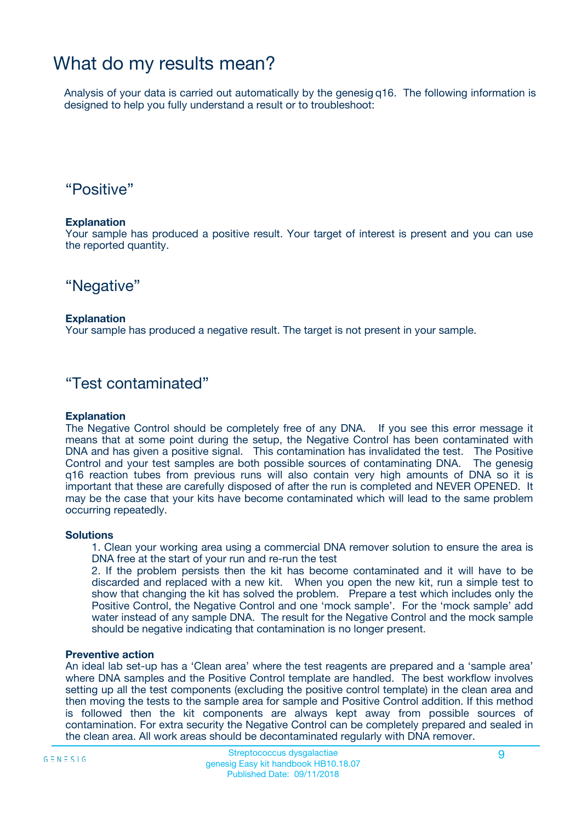## What do my results mean?

Analysis of your data is carried out automatically by the genesig q16. The following information is designed to help you fully understand a result or to troubleshoot:

### "Positive"

#### **Explanation**

Your sample has produced a positive result. Your target of interest is present and you can use the reported quantity.

"Negative"

#### **Explanation**

Your sample has produced a negative result. The target is not present in your sample.

### "Test contaminated"

#### **Explanation**

The Negative Control should be completely free of any DNA. If you see this error message it means that at some point during the setup, the Negative Control has been contaminated with DNA and has given a positive signal. This contamination has invalidated the test. The Positive Control and your test samples are both possible sources of contaminating DNA. The genesig q16 reaction tubes from previous runs will also contain very high amounts of DNA so it is important that these are carefully disposed of after the run is completed and NEVER OPENED. It may be the case that your kits have become contaminated which will lead to the same problem occurring repeatedly.

#### **Solutions**

1. Clean your working area using a commercial DNA remover solution to ensure the area is DNA free at the start of your run and re-run the test

2. If the problem persists then the kit has become contaminated and it will have to be discarded and replaced with a new kit. When you open the new kit, run a simple test to show that changing the kit has solved the problem. Prepare a test which includes only the Positive Control, the Negative Control and one 'mock sample'. For the 'mock sample' add water instead of any sample DNA. The result for the Negative Control and the mock sample should be negative indicating that contamination is no longer present.

#### **Preventive action**

An ideal lab set-up has a 'Clean area' where the test reagents are prepared and a 'sample area' where DNA samples and the Positive Control template are handled. The best workflow involves setting up all the test components (excluding the positive control template) in the clean area and then moving the tests to the sample area for sample and Positive Control addition. If this method is followed then the kit components are always kept away from possible sources of contamination. For extra security the Negative Control can be completely prepared and sealed in the clean area. All work areas should be decontaminated regularly with DNA remover.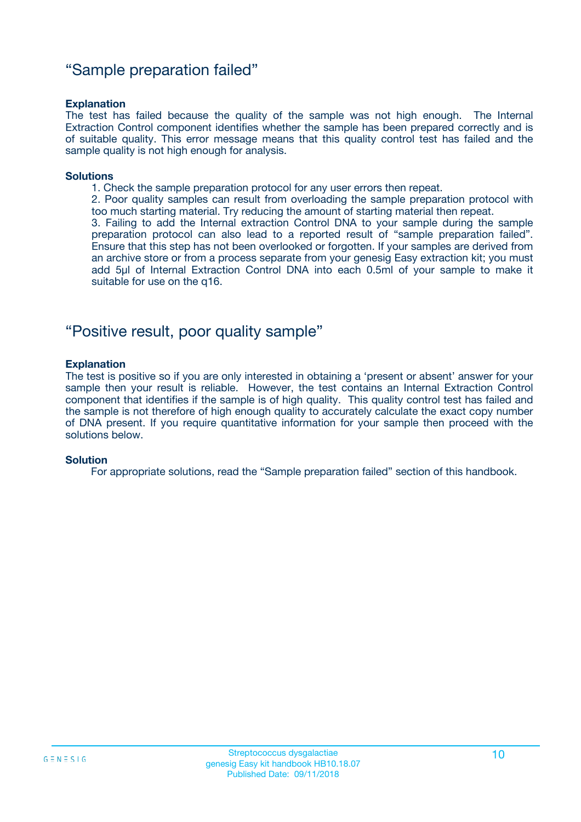### "Sample preparation failed"

#### **Explanation**

The test has failed because the quality of the sample was not high enough. The Internal Extraction Control component identifies whether the sample has been prepared correctly and is of suitable quality. This error message means that this quality control test has failed and the sample quality is not high enough for analysis.

#### **Solutions**

1. Check the sample preparation protocol for any user errors then repeat.

2. Poor quality samples can result from overloading the sample preparation protocol with too much starting material. Try reducing the amount of starting material then repeat.

3. Failing to add the Internal extraction Control DNA to your sample during the sample preparation protocol can also lead to a reported result of "sample preparation failed". Ensure that this step has not been overlooked or forgotten. If your samples are derived from an archive store or from a process separate from your genesig Easy extraction kit; you must add 5µl of Internal Extraction Control DNA into each 0.5ml of your sample to make it suitable for use on the q16.

### "Positive result, poor quality sample"

#### **Explanation**

The test is positive so if you are only interested in obtaining a 'present or absent' answer for your sample then your result is reliable. However, the test contains an Internal Extraction Control component that identifies if the sample is of high quality. This quality control test has failed and the sample is not therefore of high enough quality to accurately calculate the exact copy number of DNA present. If you require quantitative information for your sample then proceed with the solutions below.

#### **Solution**

For appropriate solutions, read the "Sample preparation failed" section of this handbook.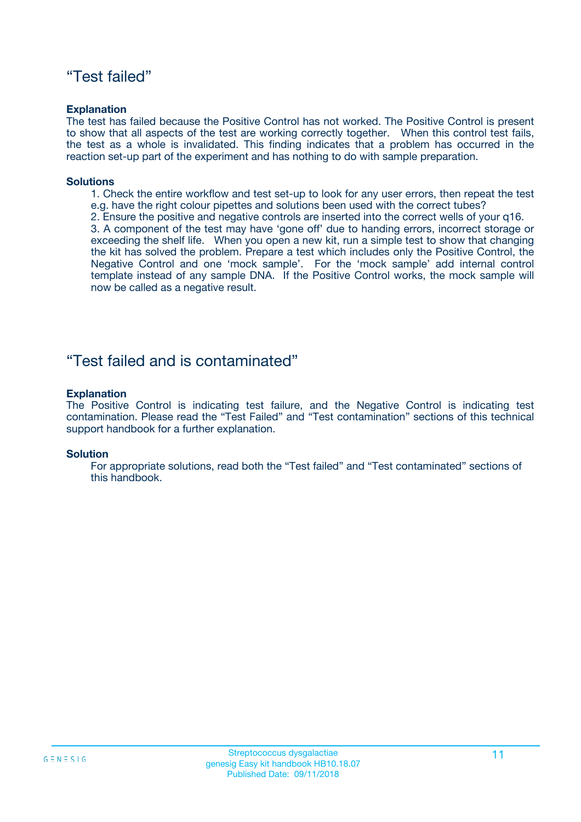### "Test failed"

#### **Explanation**

The test has failed because the Positive Control has not worked. The Positive Control is present to show that all aspects of the test are working correctly together. When this control test fails, the test as a whole is invalidated. This finding indicates that a problem has occurred in the reaction set-up part of the experiment and has nothing to do with sample preparation.

#### **Solutions**

- 1. Check the entire workflow and test set-up to look for any user errors, then repeat the test e.g. have the right colour pipettes and solutions been used with the correct tubes?
- 2. Ensure the positive and negative controls are inserted into the correct wells of your q16.

3. A component of the test may have 'gone off' due to handing errors, incorrect storage or exceeding the shelf life. When you open a new kit, run a simple test to show that changing the kit has solved the problem. Prepare a test which includes only the Positive Control, the Negative Control and one 'mock sample'. For the 'mock sample' add internal control template instead of any sample DNA. If the Positive Control works, the mock sample will now be called as a negative result.

### "Test failed and is contaminated"

#### **Explanation**

The Positive Control is indicating test failure, and the Negative Control is indicating test contamination. Please read the "Test Failed" and "Test contamination" sections of this technical support handbook for a further explanation.

#### **Solution**

For appropriate solutions, read both the "Test failed" and "Test contaminated" sections of this handbook.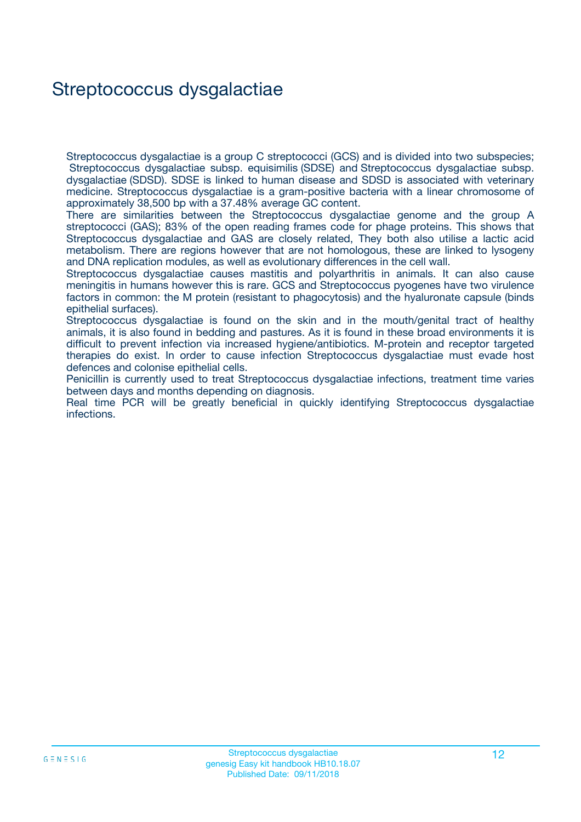## Streptococcus dysgalactiae

Streptococcus dysgalactiae is a group C streptococci (GCS) and is divided into two subspecies; Streptococcus dysgalactiae subsp. equisimilis (SDSE) and Streptococcus dysgalactiae subsp. dysgalactiae (SDSD). SDSE is linked to human disease and SDSD is associated with veterinary medicine. Streptococcus dysgalactiae is a gram-positive bacteria with a linear chromosome of approximately 38,500 bp with a 37.48% average GC content.

There are similarities between the Streptococcus dysgalactiae genome and the group A streptococci (GAS); 83% of the open reading frames code for phage proteins. This shows that Streptococcus dysgalactiae and GAS are closely related, They both also utilise a lactic acid metabolism. There are regions however that are not homologous, these are linked to lysogeny and DNA replication modules, as well as evolutionary differences in the cell wall.

Streptococcus dysgalactiae causes mastitis and polyarthritis in animals. It can also cause meningitis in humans however this is rare. GCS and Streptococcus pyogenes have two virulence factors in common: the M protein (resistant to phagocytosis) and the hyaluronate capsule (binds epithelial surfaces).

Streptococcus dysgalactiae is found on the skin and in the mouth/genital tract of healthy animals, it is also found in bedding and pastures. As it is found in these broad environments it is difficult to prevent infection via increased hygiene/antibiotics. M-protein and receptor targeted therapies do exist. In order to cause infection Streptococcus dysgalactiae must evade host defences and colonise epithelial cells.

Penicillin is currently used to treat Streptococcus dysgalactiae infections, treatment time varies between days and months depending on diagnosis.

Real time PCR will be greatly beneficial in quickly identifying Streptococcus dysgalactiae infections.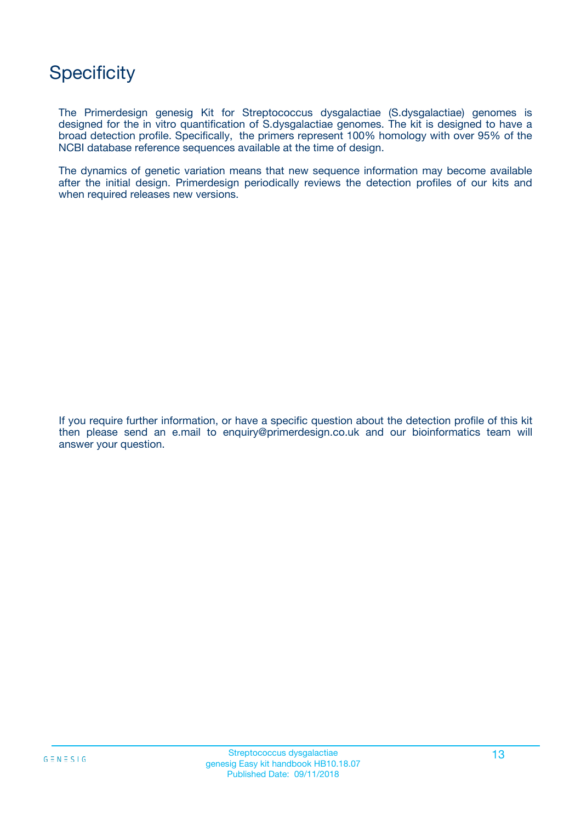## **Specificity**

The Primerdesign genesig Kit for Streptococcus dysgalactiae (S.dysgalactiae) genomes is designed for the in vitro quantification of S.dysgalactiae genomes. The kit is designed to have a broad detection profile. Specifically, the primers represent 100% homology with over 95% of the NCBI database reference sequences available at the time of design.

The dynamics of genetic variation means that new sequence information may become available after the initial design. Primerdesign periodically reviews the detection profiles of our kits and when required releases new versions.

If you require further information, or have a specific question about the detection profile of this kit then please send an e.mail to enquiry@primerdesign.co.uk and our bioinformatics team will answer your question.